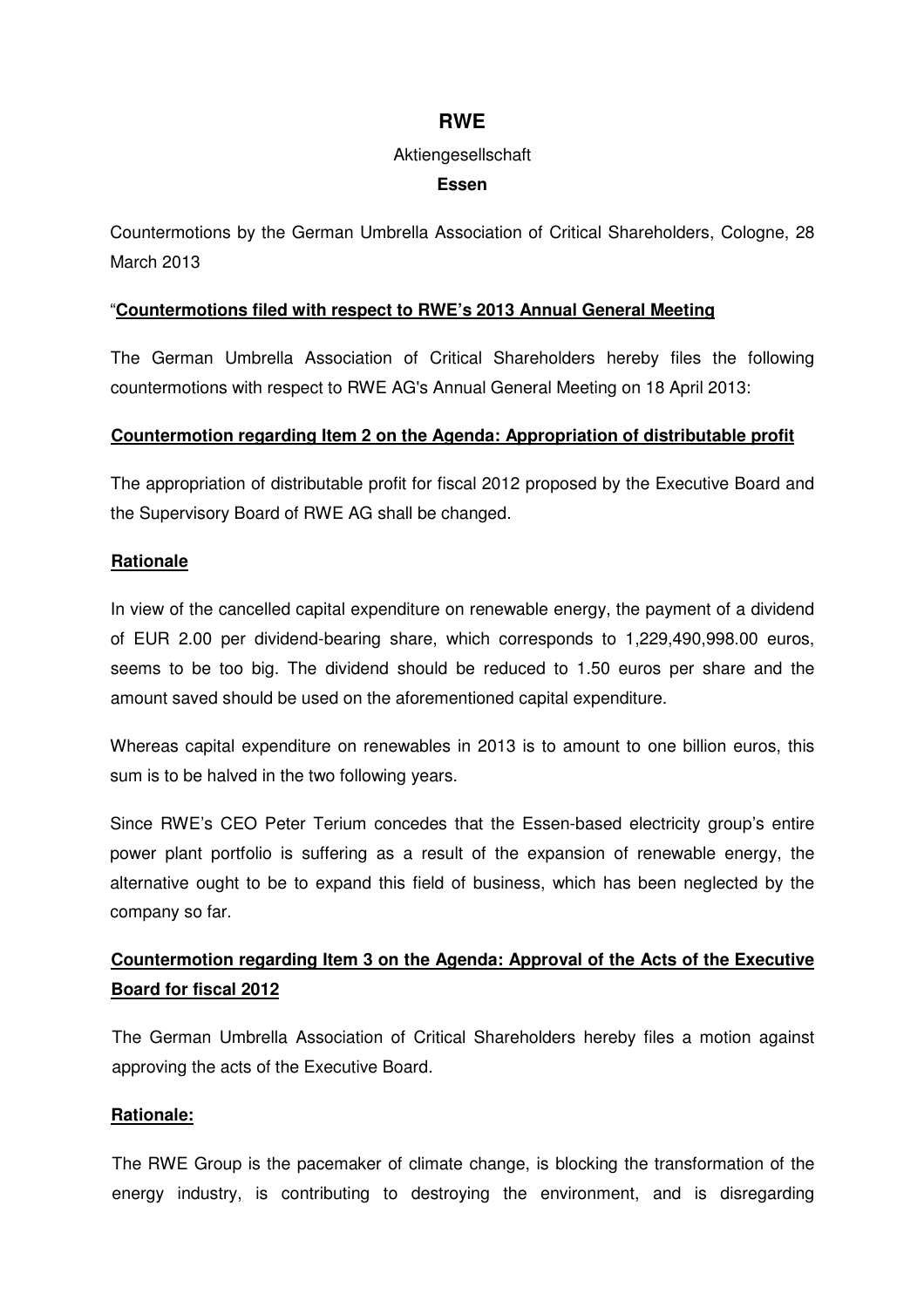## **RWE**

#### Aktiengesellschaft

### **Essen**

Countermotions by the German Umbrella Association of Critical Shareholders, Cologne, 28 March 2013

### "**Countermotions filed with respect to RWE's 2013 Annual General Meeting**

The German Umbrella Association of Critical Shareholders hereby files the following countermotions with respect to RWE AG's Annual General Meeting on 18 April 2013:

#### **Countermotion regarding Item 2 on the Agenda: Appropriation of distributable profit**

The appropriation of distributable profit for fiscal 2012 proposed by the Executive Board and the Supervisory Board of RWE AG shall be changed.

#### **Rationale**

In view of the cancelled capital expenditure on renewable energy, the payment of a dividend of EUR 2.00 per dividend-bearing share, which corresponds to 1,229,490,998.00 euros, seems to be too big. The dividend should be reduced to 1.50 euros per share and the amount saved should be used on the aforementioned capital expenditure.

Whereas capital expenditure on renewables in 2013 is to amount to one billion euros, this sum is to be halved in the two following years.

Since RWE's CEO Peter Terium concedes that the Essen-based electricity group's entire power plant portfolio is suffering as a result of the expansion of renewable energy, the alternative ought to be to expand this field of business, which has been neglected by the company so far.

# **Countermotion regarding Item 3 on the Agenda: Approval of the Acts of the Executive Board for fiscal 2012**

The German Umbrella Association of Critical Shareholders hereby files a motion against approving the acts of the Executive Board.

## **Rationale:**

The RWE Group is the pacemaker of climate change, is blocking the transformation of the energy industry, is contributing to destroying the environment, and is disregarding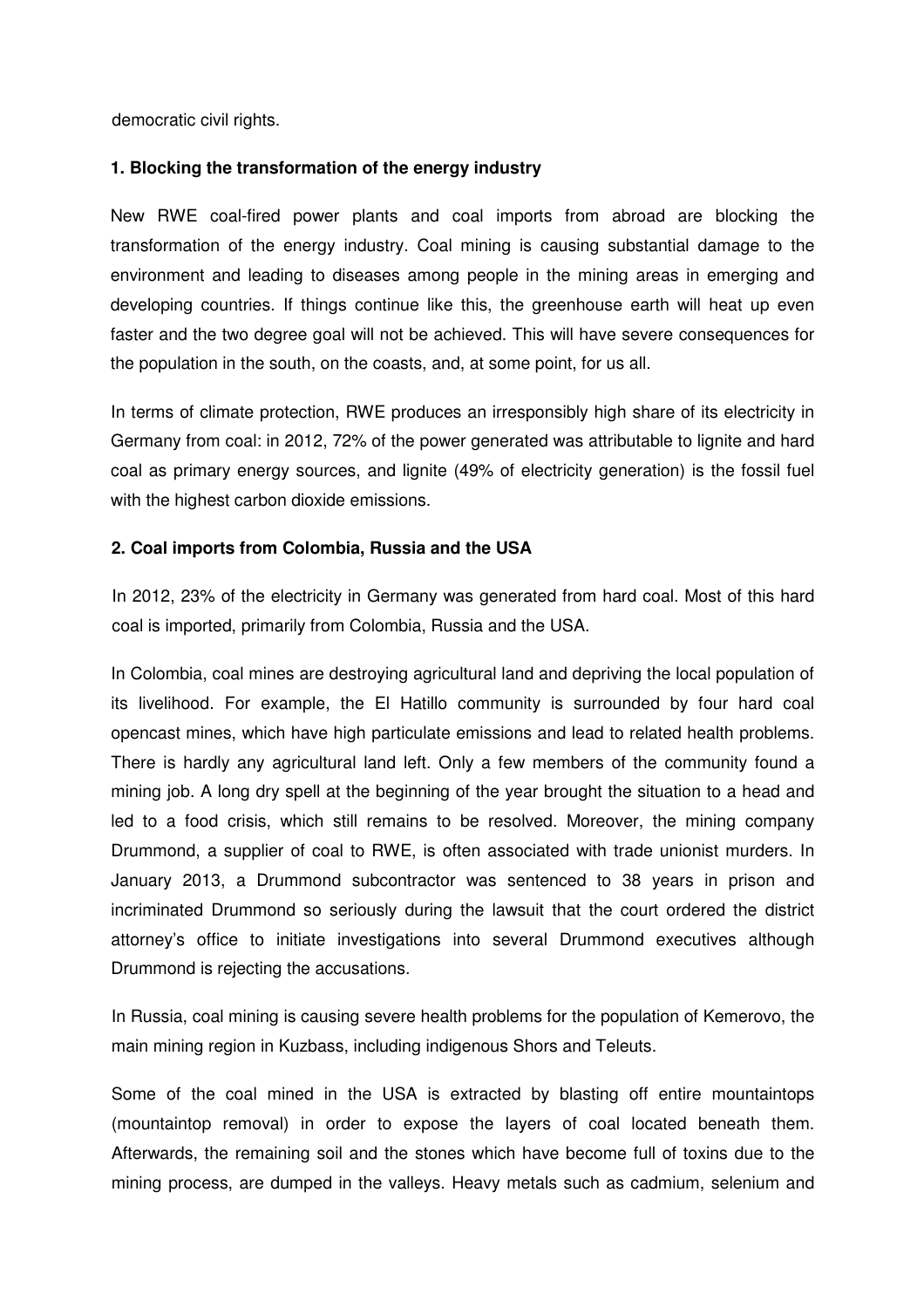democratic civil rights.

## **1. Blocking the transformation of the energy industry**

New RWE coal-fired power plants and coal imports from abroad are blocking the transformation of the energy industry. Coal mining is causing substantial damage to the environment and leading to diseases among people in the mining areas in emerging and developing countries. If things continue like this, the greenhouse earth will heat up even faster and the two degree goal will not be achieved. This will have severe consequences for the population in the south, on the coasts, and, at some point, for us all.

In terms of climate protection, RWE produces an irresponsibly high share of its electricity in Germany from coal: in 2012, 72% of the power generated was attributable to lignite and hard coal as primary energy sources, and lignite (49% of electricity generation) is the fossil fuel with the highest carbon dioxide emissions.

#### **2. Coal imports from Colombia, Russia and the USA**

In 2012, 23% of the electricity in Germany was generated from hard coal. Most of this hard coal is imported, primarily from Colombia, Russia and the USA.

In Colombia, coal mines are destroying agricultural land and depriving the local population of its livelihood. For example, the El Hatillo community is surrounded by four hard coal opencast mines, which have high particulate emissions and lead to related health problems. There is hardly any agricultural land left. Only a few members of the community found a mining job. A long dry spell at the beginning of the year brought the situation to a head and led to a food crisis, which still remains to be resolved. Moreover, the mining company Drummond, a supplier of coal to RWE, is often associated with trade unionist murders. In January 2013, a Drummond subcontractor was sentenced to 38 years in prison and incriminated Drummond so seriously during the lawsuit that the court ordered the district attorney's office to initiate investigations into several Drummond executives although Drummond is rejecting the accusations.

In Russia, coal mining is causing severe health problems for the population of Kemerovo, the main mining region in Kuzbass, including indigenous Shors and Teleuts.

Some of the coal mined in the USA is extracted by blasting off entire mountaintops (mountaintop removal) in order to expose the layers of coal located beneath them. Afterwards, the remaining soil and the stones which have become full of toxins due to the mining process, are dumped in the valleys. Heavy metals such as cadmium, selenium and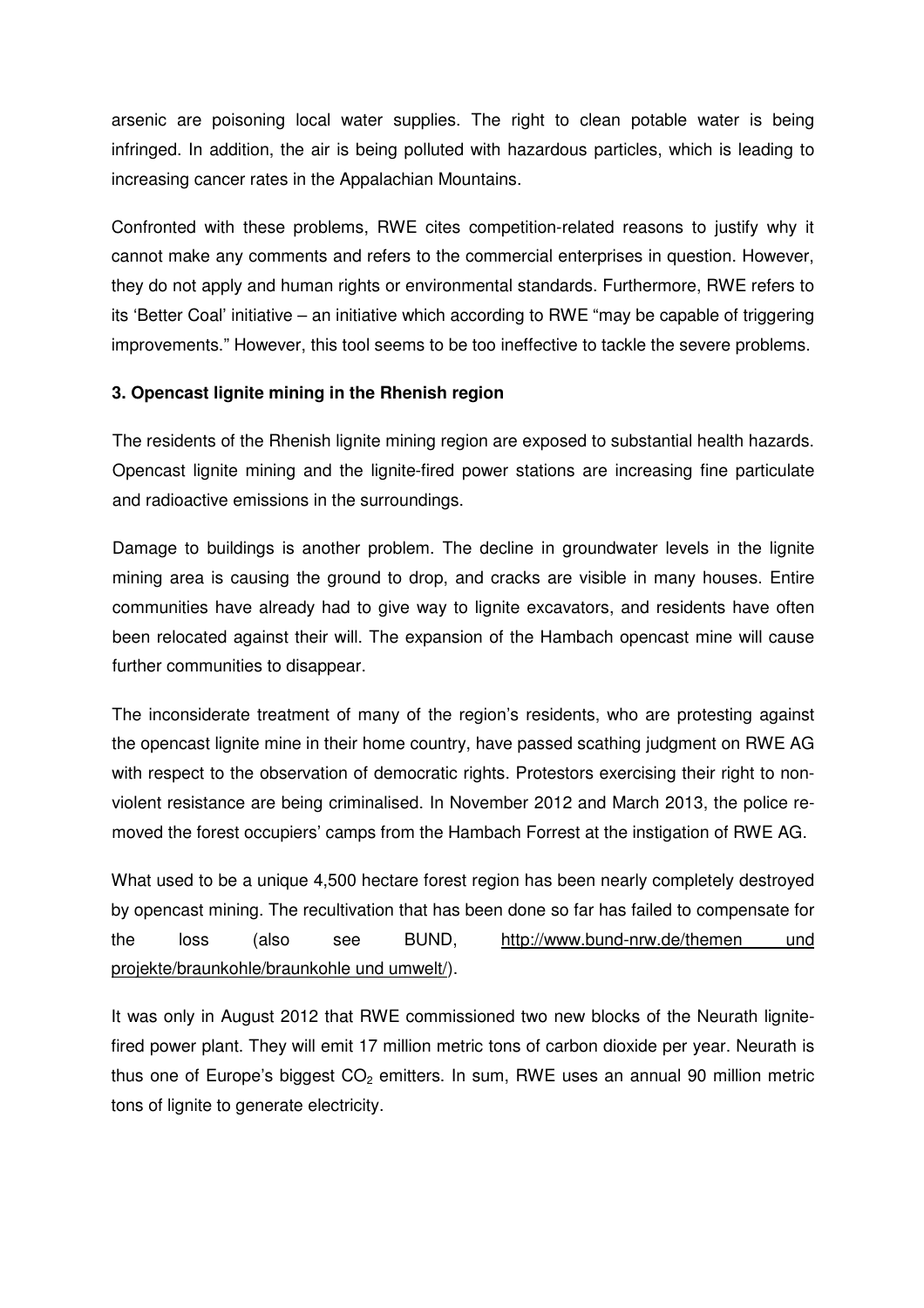arsenic are poisoning local water supplies. The right to clean potable water is being infringed. In addition, the air is being polluted with hazardous particles, which is leading to increasing cancer rates in the Appalachian Mountains.

Confronted with these problems, RWE cites competition-related reasons to justify why it cannot make any comments and refers to the commercial enterprises in question. However, they do not apply and human rights or environmental standards. Furthermore, RWE refers to its 'Better Coal' initiative – an initiative which according to RWE "may be capable of triggering improvements." However, this tool seems to be too ineffective to tackle the severe problems.

## **3. Opencast lignite mining in the Rhenish region**

The residents of the Rhenish lignite mining region are exposed to substantial health hazards. Opencast lignite mining and the lignite-fired power stations are increasing fine particulate and radioactive emissions in the surroundings.

Damage to buildings is another problem. The decline in groundwater levels in the lignite mining area is causing the ground to drop, and cracks are visible in many houses. Entire communities have already had to give way to lignite excavators, and residents have often been relocated against their will. The expansion of the Hambach opencast mine will cause further communities to disappear.

The inconsiderate treatment of many of the region's residents, who are protesting against the opencast lignite mine in their home country, have passed scathing judgment on RWE AG with respect to the observation of democratic rights. Protestors exercising their right to nonviolent resistance are being criminalised. In November 2012 and March 2013, the police removed the forest occupiers' camps from the Hambach Forrest at the instigation of RWE AG.

What used to be a unique 4,500 hectare forest region has been nearly completely destroyed by opencast mining. The recultivation that has been done so far has failed to compensate for the loss (also see BUND, http://www.bund-nrw.de/themen und projekte/braunkohle/braunkohle und umwelt/).

It was only in August 2012 that RWE commissioned two new blocks of the Neurath lignitefired power plant. They will emit 17 million metric tons of carbon dioxide per year. Neurath is thus one of Europe's biggest  $CO<sub>2</sub>$  emitters. In sum, RWE uses an annual 90 million metric tons of lignite to generate electricity.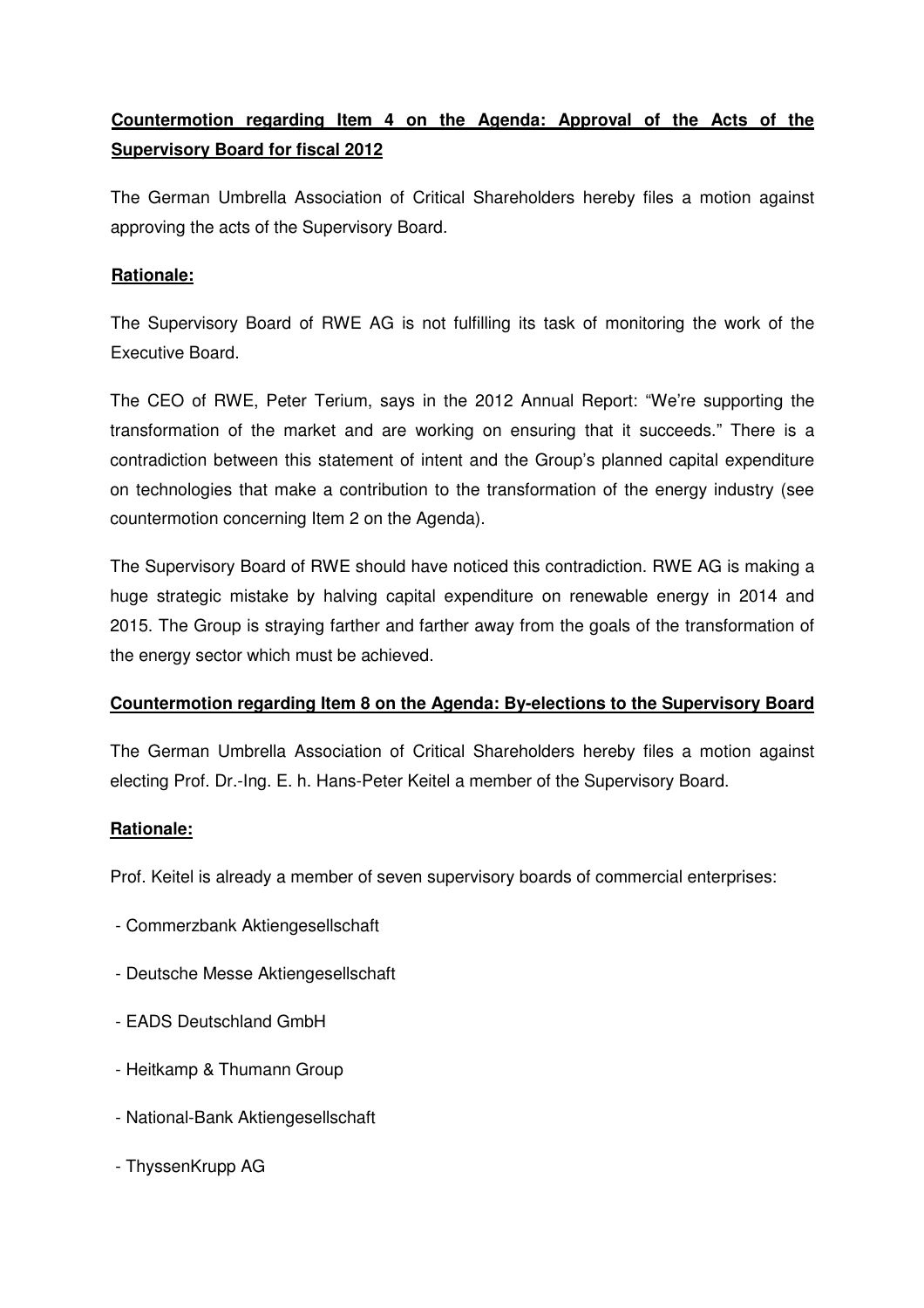# **Countermotion regarding Item 4 on the Agenda: Approval of the Acts of the Supervisory Board for fiscal 2012**

The German Umbrella Association of Critical Shareholders hereby files a motion against approving the acts of the Supervisory Board.

## **Rationale:**

The Supervisory Board of RWE AG is not fulfilling its task of monitoring the work of the Executive Board.

The CEO of RWE, Peter Terium, says in the 2012 Annual Report: "We're supporting the transformation of the market and are working on ensuring that it succeeds." There is a contradiction between this statement of intent and the Group's planned capital expenditure on technologies that make a contribution to the transformation of the energy industry (see countermotion concerning Item 2 on the Agenda).

The Supervisory Board of RWE should have noticed this contradiction. RWE AG is making a huge strategic mistake by halving capital expenditure on renewable energy in 2014 and 2015. The Group is straying farther and farther away from the goals of the transformation of the energy sector which must be achieved.

## **Countermotion regarding Item 8 on the Agenda: By-elections to the Supervisory Board**

The German Umbrella Association of Critical Shareholders hereby files a motion against electing Prof. Dr.-Ing. E. h. Hans-Peter Keitel a member of the Supervisory Board.

## **Rationale:**

Prof. Keitel is already a member of seven supervisory boards of commercial enterprises:

- Commerzbank Aktiengesellschaft
- Deutsche Messe Aktiengesellschaft
- EADS Deutschland GmbH
- Heitkamp & Thumann Group
- National-Bank Aktiengesellschaft
- ThyssenKrupp AG